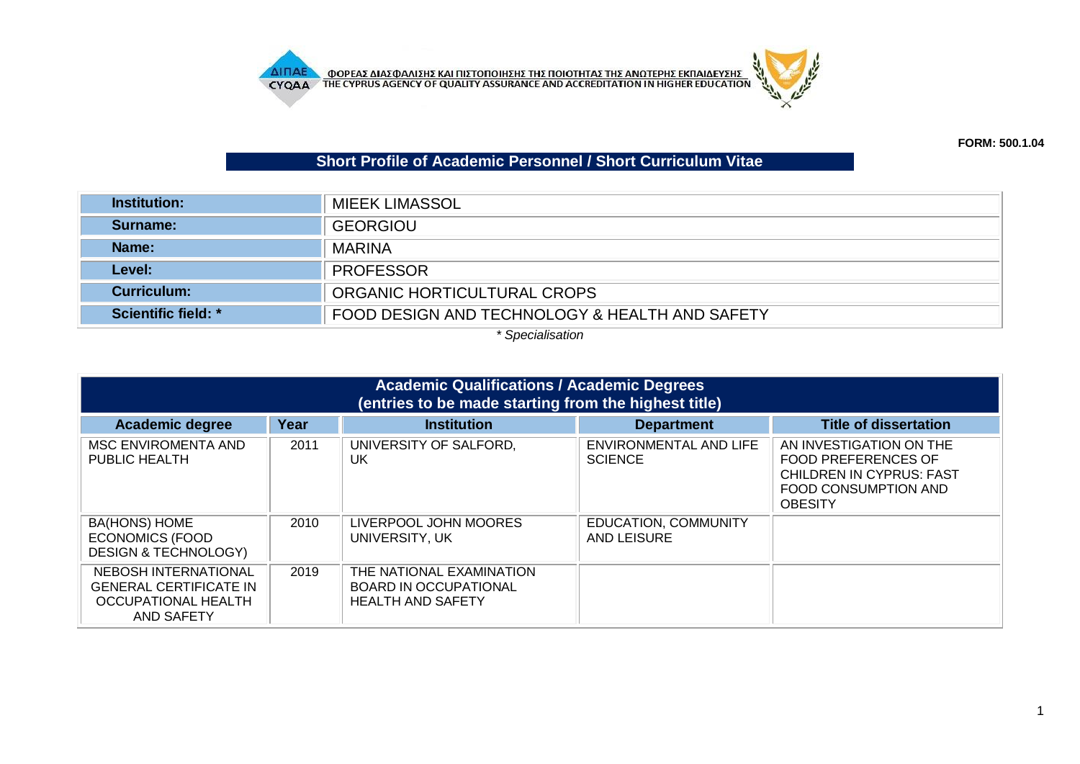

## **Short Profile of Academic Personnel / Short Curriculum Vitae**

| Institution:               | <b>MIEEK LIMASSOL</b>                          |
|----------------------------|------------------------------------------------|
| Surname:                   | <b>GEORGIOU</b>                                |
| Name:                      | <b>MARINA</b>                                  |
| Level:                     | <b>PROFESSOR</b>                               |
| <b>Curriculum:</b>         | ORGANIC HORTICULTURAL CROPS                    |
| <b>Scientific field: *</b> | FOOD DESIGN AND TECHNOLOGY & HEALTH AND SAFETY |

*\* Specialisation*

| <b>Academic Qualifications / Academic Degrees</b><br>(entries to be made starting from the highest title) |      |                                                                                      |                                            |                                                                                                                             |
|-----------------------------------------------------------------------------------------------------------|------|--------------------------------------------------------------------------------------|--------------------------------------------|-----------------------------------------------------------------------------------------------------------------------------|
| <b>Academic degree</b>                                                                                    | Year | <b>Institution</b>                                                                   | <b>Department</b>                          | <b>Title of dissertation</b>                                                                                                |
| MSC ENVIROMENTA AND<br><b>PUBLIC HEALTH</b>                                                               | 2011 | UNIVERSITY OF SALFORD.<br>UK                                                         | ENVIRONMENTAL AND LIFE<br><b>SCIENCE</b>   | AN INVESTIGATION ON THE<br>FOOD PREFERENCES OF<br><b>CHILDREN IN CYPRUS: FAST</b><br>FOOD CONSUMPTION AND<br><b>OBESITY</b> |
| <b>BA(HONS) HOME</b><br><b>ECONOMICS (FOOD</b><br><b>DESIGN &amp; TECHNOLOGY)</b>                         | 2010 | LIVERPOOL JOHN MOORES<br>UNIVERSITY, UK                                              | <b>EDUCATION, COMMUNITY</b><br>AND LEISURE |                                                                                                                             |
| NEBOSH INTERNATIONAL<br><b>GENERAL CERTIFICATE IN</b><br>OCCUPATIONAL HEALTH<br><b>AND SAFETY</b>         | 2019 | THE NATIONAL EXAMINATION<br><b>BOARD IN OCCUPATIONAL</b><br><b>HEALTH AND SAFETY</b> |                                            |                                                                                                                             |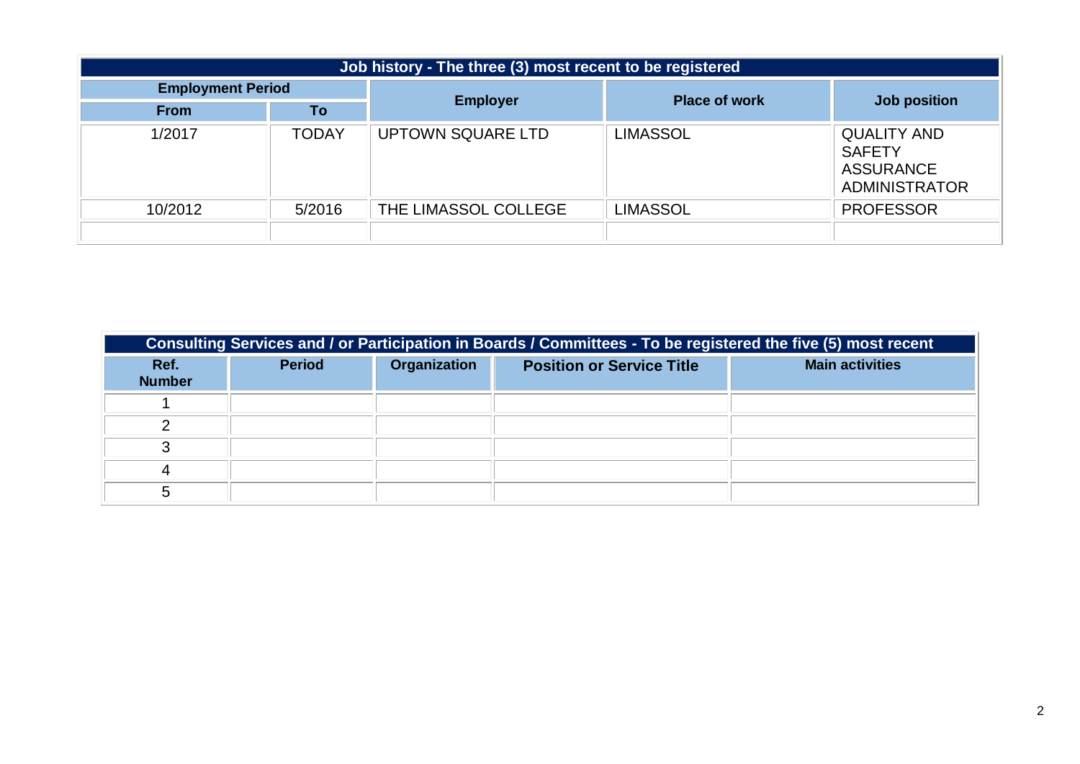| Job history - The three (3) most recent to be registered |              |                          |                      |                                                                                 |
|----------------------------------------------------------|--------------|--------------------------|----------------------|---------------------------------------------------------------------------------|
| <b>Employment Period</b>                                 |              | <b>Employer</b>          | <b>Place of work</b> | Job position                                                                    |
| <b>From</b>                                              | Τo           |                          |                      |                                                                                 |
| 1/2017                                                   | <b>TODAY</b> | <b>UPTOWN SQUARE LTD</b> | <b>LIMASSOL</b>      | <b>QUALITY AND</b><br><b>SAFETY</b><br><b>ASSURANCE</b><br><b>ADMINISTRATOR</b> |
| 10/2012                                                  | 5/2016       | THE LIMASSOL COLLEGE     | <b>LIMASSOL</b>      | <b>PROFESSOR</b>                                                                |
|                                                          |              |                          |                      |                                                                                 |

| Consulting Services and / or Participation in Boards / Committees - To be registered the five (5) most recent |               |              |                                  |                        |
|---------------------------------------------------------------------------------------------------------------|---------------|--------------|----------------------------------|------------------------|
| Ref.<br><b>Number</b>                                                                                         | <b>Period</b> | Organization | <b>Position or Service Title</b> | <b>Main activities</b> |
|                                                                                                               |               |              |                                  |                        |
|                                                                                                               |               |              |                                  |                        |
|                                                                                                               |               |              |                                  |                        |
|                                                                                                               |               |              |                                  |                        |
|                                                                                                               |               |              |                                  |                        |